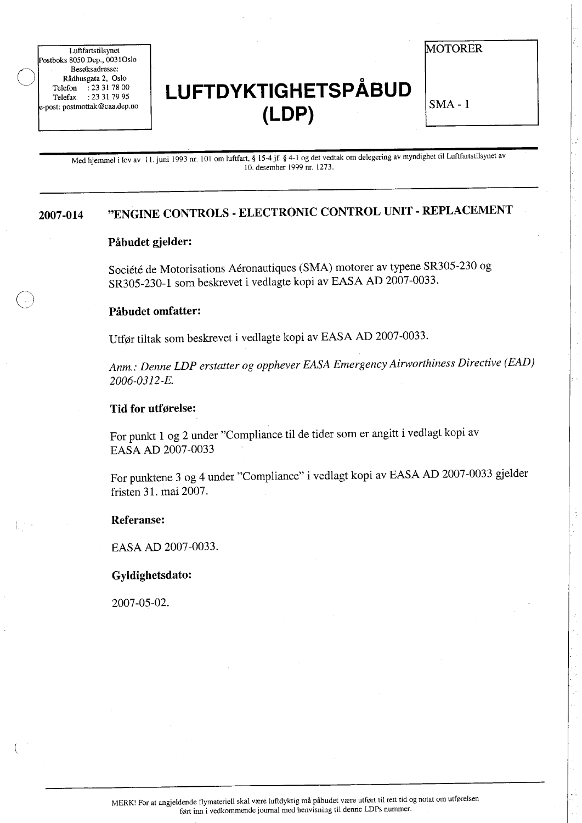Luftfartstilsynet Postboks 8050 Dep., 00310sl0 Besøksadresse: Rådhusgata 2, Oslo Telefon : 23 31 78 00<br>Telefax : 23 31 79 95 : 23 31 79 95 -post: postmottak@caa.dep.no  $\bigcirc$  Postboks 8050 Dep., 00310sio<br>
Rådhusgata 2, Oslo<br>
Telefon : 23 31 78 00<br>
Telefon : 23 31 78 00<br>
Telefon : 23 31 78 00

# LUFTDYKTIGHETSPABUD (LDP)

MOTORER

SMA - 1

Med hjemmel i lov av 11. juni 1993 nr. 101 om luftfart, § 15-4 jf. § 4-1 og det vedtak om delegering av myndighet til Luftfartstilsynet av LO. desember 1999 nr. 1273.

### 2007-014 "ENGINE CONTROLS - ELECTRONIC CONTROL UNIT - REPLACEMENT

### Påbudet gjelder:

Société de Motorisations Aéronautiques (SMA) motorer av typene SR305-230 og SR305-230-1 som beskrevet i vedlagte kopi av EASA AD 2007-0033.

### Påbudet omfatter:

Utfør tiltak som beskrevet i vedlagte kopi av EASA AD 2007-0033.

Anm.: Denne LDP erstatter og opphever EASA Emergency Airworthiness Directive (EAD) 2006-0312-E.

### Tid for utførelse:

For punkt 1 og 2 under "Compliance til de tider som er angitt i vedlagt kopi av EASA AD 2007-0033

For punktene 3 og 4 under "Compliance" i vedlagt kopi av EASA AD 2007-0033 gjelder fristen 31. mai 2007.

### Referanse:

I. .

EASA AD 2007-0033.

### Gyldighetsdato:

2007 -05-02.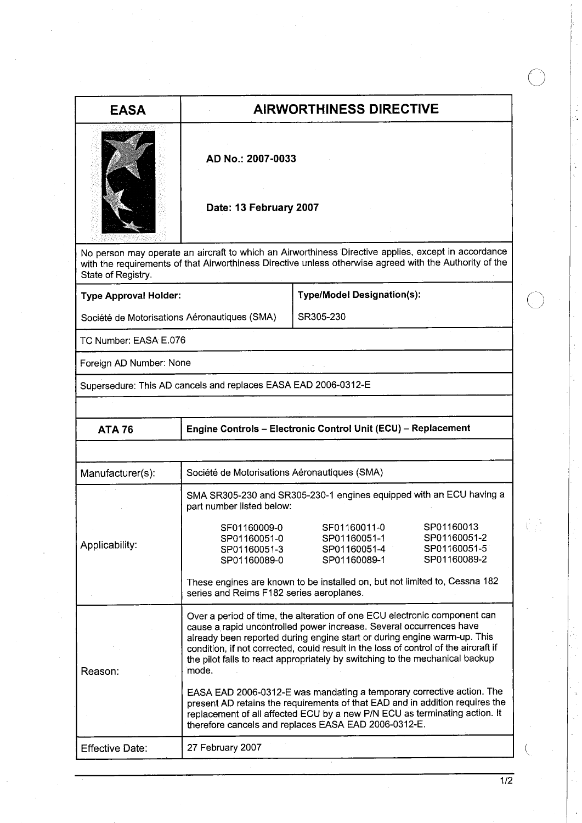| <b>AIRWORTHINESS DIRECTIVE</b><br><b>EASA</b><br>AD No.: 2007-0033<br>Date: 13 February 2007<br>No person may operate an aircraft to which an Airworthiness Directive applies, except in accordance<br>with the requirements of that Airworthiness Directive unless otherwise agreed with the Authority of the<br>State of Registry.<br><b>Type/Model Designation(s):</b><br><b>Type Approval Holder:</b><br>SR305-230<br>Société de Motorisations Aéronautiques (SMA)<br>TC Number: EASA E.076<br>Foreign AD Number: None<br>Supersedure: This AD cancels and replaces EASA EAD 2006-0312-E<br>Engine Controls - Electronic Control Unit (ECU) - Replacement<br><b>ATA 76</b><br>Société de Motorisations Aéronautiques (SMA)<br>Manufacturer(s):<br>SMA SR305-230 and SR305-230-1 engines equipped with an ECU having a<br>part number listed below:<br>SP01160013<br>SF01160009-0<br>SF01160011-0<br>SP01160051-2<br>SP01160051-0<br>SP01160051-1<br>Applicability:<br>SP01160051-5<br>SP01160051-3<br>SP01160051-4<br>SP01160089-2<br>SP01160089-0<br>SP01160089-1<br>series and Reims F182 series aeroplanes.<br>cause a rapid uncontrolled power increase. Several occurrences have<br>mode.<br>Reason: |  |                                                                                                                                                                                                                                                                                                                              |  |  |
|---------------------------------------------------------------------------------------------------------------------------------------------------------------------------------------------------------------------------------------------------------------------------------------------------------------------------------------------------------------------------------------------------------------------------------------------------------------------------------------------------------------------------------------------------------------------------------------------------------------------------------------------------------------------------------------------------------------------------------------------------------------------------------------------------------------------------------------------------------------------------------------------------------------------------------------------------------------------------------------------------------------------------------------------------------------------------------------------------------------------------------------------------------------------------------------------------------------|--|------------------------------------------------------------------------------------------------------------------------------------------------------------------------------------------------------------------------------------------------------------------------------------------------------------------------------|--|--|
|                                                                                                                                                                                                                                                                                                                                                                                                                                                                                                                                                                                                                                                                                                                                                                                                                                                                                                                                                                                                                                                                                                                                                                                                               |  |                                                                                                                                                                                                                                                                                                                              |  |  |
|                                                                                                                                                                                                                                                                                                                                                                                                                                                                                                                                                                                                                                                                                                                                                                                                                                                                                                                                                                                                                                                                                                                                                                                                               |  |                                                                                                                                                                                                                                                                                                                              |  |  |
|                                                                                                                                                                                                                                                                                                                                                                                                                                                                                                                                                                                                                                                                                                                                                                                                                                                                                                                                                                                                                                                                                                                                                                                                               |  |                                                                                                                                                                                                                                                                                                                              |  |  |
|                                                                                                                                                                                                                                                                                                                                                                                                                                                                                                                                                                                                                                                                                                                                                                                                                                                                                                                                                                                                                                                                                                                                                                                                               |  |                                                                                                                                                                                                                                                                                                                              |  |  |
|                                                                                                                                                                                                                                                                                                                                                                                                                                                                                                                                                                                                                                                                                                                                                                                                                                                                                                                                                                                                                                                                                                                                                                                                               |  |                                                                                                                                                                                                                                                                                                                              |  |  |
|                                                                                                                                                                                                                                                                                                                                                                                                                                                                                                                                                                                                                                                                                                                                                                                                                                                                                                                                                                                                                                                                                                                                                                                                               |  |                                                                                                                                                                                                                                                                                                                              |  |  |
|                                                                                                                                                                                                                                                                                                                                                                                                                                                                                                                                                                                                                                                                                                                                                                                                                                                                                                                                                                                                                                                                                                                                                                                                               |  |                                                                                                                                                                                                                                                                                                                              |  |  |
|                                                                                                                                                                                                                                                                                                                                                                                                                                                                                                                                                                                                                                                                                                                                                                                                                                                                                                                                                                                                                                                                                                                                                                                                               |  |                                                                                                                                                                                                                                                                                                                              |  |  |
|                                                                                                                                                                                                                                                                                                                                                                                                                                                                                                                                                                                                                                                                                                                                                                                                                                                                                                                                                                                                                                                                                                                                                                                                               |  |                                                                                                                                                                                                                                                                                                                              |  |  |
|                                                                                                                                                                                                                                                                                                                                                                                                                                                                                                                                                                                                                                                                                                                                                                                                                                                                                                                                                                                                                                                                                                                                                                                                               |  |                                                                                                                                                                                                                                                                                                                              |  |  |
|                                                                                                                                                                                                                                                                                                                                                                                                                                                                                                                                                                                                                                                                                                                                                                                                                                                                                                                                                                                                                                                                                                                                                                                                               |  |                                                                                                                                                                                                                                                                                                                              |  |  |
|                                                                                                                                                                                                                                                                                                                                                                                                                                                                                                                                                                                                                                                                                                                                                                                                                                                                                                                                                                                                                                                                                                                                                                                                               |  |                                                                                                                                                                                                                                                                                                                              |  |  |
|                                                                                                                                                                                                                                                                                                                                                                                                                                                                                                                                                                                                                                                                                                                                                                                                                                                                                                                                                                                                                                                                                                                                                                                                               |  |                                                                                                                                                                                                                                                                                                                              |  |  |
|                                                                                                                                                                                                                                                                                                                                                                                                                                                                                                                                                                                                                                                                                                                                                                                                                                                                                                                                                                                                                                                                                                                                                                                                               |  |                                                                                                                                                                                                                                                                                                                              |  |  |
|                                                                                                                                                                                                                                                                                                                                                                                                                                                                                                                                                                                                                                                                                                                                                                                                                                                                                                                                                                                                                                                                                                                                                                                                               |  | These engines are known to be installed on, but not limited to, Cessna 182                                                                                                                                                                                                                                                   |  |  |
|                                                                                                                                                                                                                                                                                                                                                                                                                                                                                                                                                                                                                                                                                                                                                                                                                                                                                                                                                                                                                                                                                                                                                                                                               |  | Over a period of time, the alteration of one ECU electronic component can<br>already been reported during engine start or during engine warm-up. This<br>condition, if not corrected, could result in the loss of control of the aircraft if<br>the pilot fails to react appropriately by switching to the mechanical backup |  |  |
| therefore cancels and replaces EASA EAD 2006-0312-E.                                                                                                                                                                                                                                                                                                                                                                                                                                                                                                                                                                                                                                                                                                                                                                                                                                                                                                                                                                                                                                                                                                                                                          |  | EASA EAD 2006-0312-E was mandating a temporary corrective action. The<br>present AD retains the requirements of that EAD and in addition requires the<br>replacement of all affected ECU by a new P/N ECU as terminating action. It                                                                                          |  |  |
| 27 February 2007<br><b>Effective Date:</b>                                                                                                                                                                                                                                                                                                                                                                                                                                                                                                                                                                                                                                                                                                                                                                                                                                                                                                                                                                                                                                                                                                                                                                    |  |                                                                                                                                                                                                                                                                                                                              |  |  |

 $\frac{1}{2}$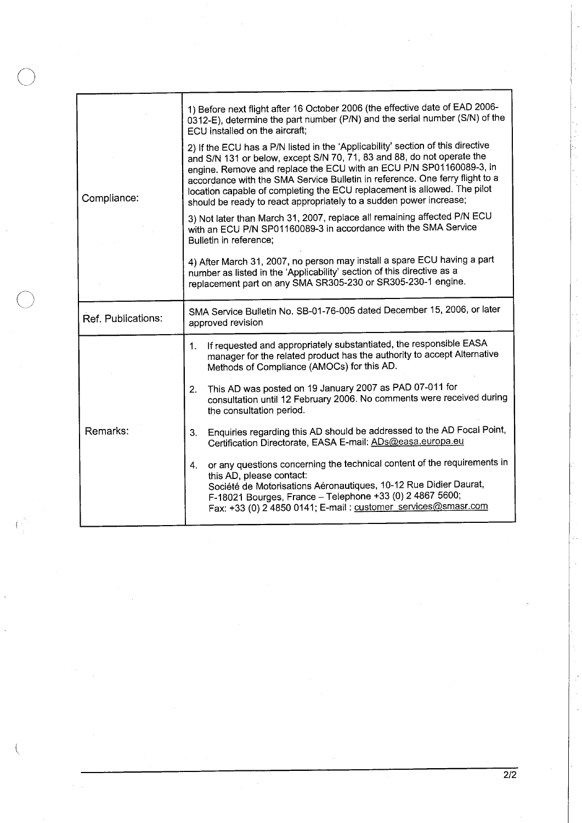| 1) Before next flight after 16 October 2006 (the effective date of EAD 2006-<br>0312-E), determine the part number (P/N) and the serial number (S/N) of the<br>ECU installed on the aircraft;                                                                                                                                                                                                                                                                      |  |  |  |
|--------------------------------------------------------------------------------------------------------------------------------------------------------------------------------------------------------------------------------------------------------------------------------------------------------------------------------------------------------------------------------------------------------------------------------------------------------------------|--|--|--|
| 2) If the ECU has a P/N listed in the 'Applicability' section of this directive<br>and S/N 131 or below, except S/N 70, 71, 83 and 88, do not operate the<br>engine. Remove and replace the ECU with an ECU P/N SP01160089-3, in<br>accordance with the SMA Service Bulletin in reference. One ferry flight to a<br>location capable of completing the ECU replacement is allowed. The pilot<br>should be ready to react appropriately to a sudden power increase; |  |  |  |
| 3) Not later than March 31, 2007, replace all remaining affected P/N ECU<br>with an ECU P/N SP01160089-3 in accordance with the SMA Service<br>Bulletin in reference;                                                                                                                                                                                                                                                                                              |  |  |  |
| 4) After March 31, 2007, no person may install a spare ECU having a part<br>number as listed in the 'Applicability' section of this directive as a<br>replacement part on any SMA SR305-230 or SR305-230-1 engine.                                                                                                                                                                                                                                                 |  |  |  |
| SMA Service Bulletin No. SB-01-76-005 dated December 15, 2006, or later<br>approved revision                                                                                                                                                                                                                                                                                                                                                                       |  |  |  |
| If requested and appropriately substantiated, the responsible EASA<br>1.<br>manager for the related product has the authority to accept Alternative<br>Methods of Compliance (AMOCs) for this AD.                                                                                                                                                                                                                                                                  |  |  |  |
| This AD was posted on 19 January 2007 as PAD 07-011 for<br>2.<br>consultation until 12 February 2006. No comments were received during<br>the consultation period.                                                                                                                                                                                                                                                                                                 |  |  |  |
| Enquiries regarding this AD should be addressed to the AD Focal Point,<br>3.<br>Certification Directorate, EASA E-mail: ADs@easa.europa.eu                                                                                                                                                                                                                                                                                                                         |  |  |  |
| or any questions concerning the technical content of the requirements in<br>4.<br>this AD, please contact:<br>Société de Motorisations Aéronautiques, 10-12 Rue Didier Daurat,<br>F-18021 Bourges, France - Telephone +33 (0) 2 4867 5600;<br>Fax: +33 (0) 2 4850 0141; E-mail : customer_services@smasr.com                                                                                                                                                       |  |  |  |
|                                                                                                                                                                                                                                                                                                                                                                                                                                                                    |  |  |  |

 $\bigcirc$ 

o

 $\overline{\phantom{0}}$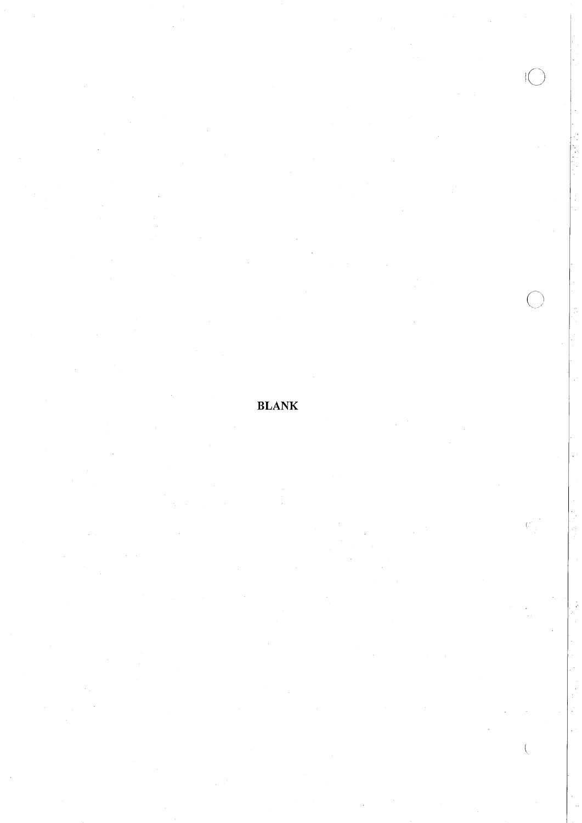### BLANK

iO

I.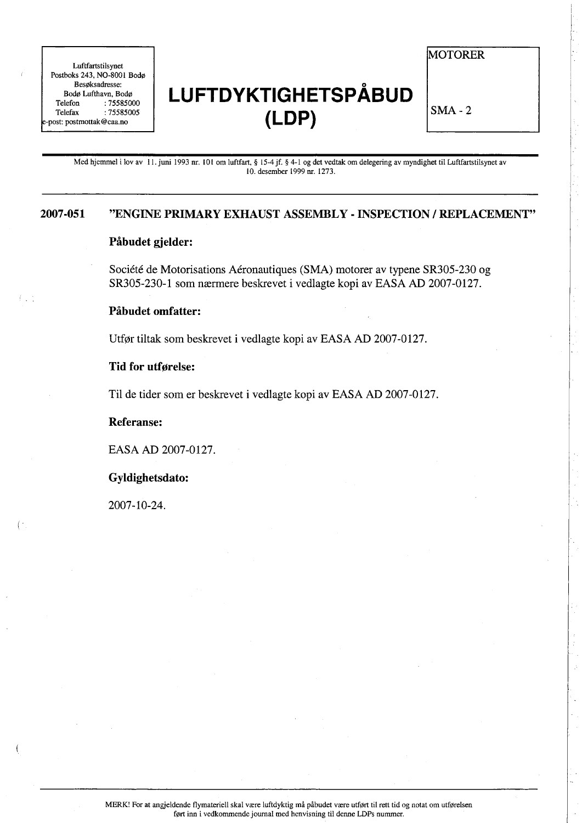Luftfartstilsynet Postboks 243, NO-8001 Bodø Besøksadresse: Bodø Lufthavn, Bodø<br>Telefon : 755850 Telefon : 75585000<br>Telefax : 75585005 : 75585005 ost: postmottak@caa.no

## LUFTDYKTIGHETSPÅBUD (LDP)

MOTORER

SMA - 2

Med hjemmel i lov av 11. juni 1993 nr. 101 om luftfart, § 15-4 jf. § 4-1 og det vedtak om delegering av myndighet til Luftfartstilsynet av 10. desember 1999 nr. 1273.

### 2007-051 "ENGINE PRIMARY EXHAUST ASSEMBLY - INSPECTION / REPLACEMENT"

### Påbudet gjelder:

Société de Motorisations Aéronautiques (SMA) motorer av typene SR305-230 og SR305-230-1 som nærmere beskrevet i vedlagte kopi av EASA AD 2007-0127.

### Påbudet omfatter:

Utfør tiltak som beskrevet i vedlagte kopi av EASA AD 2007-0127.

### Tid for utførelse:

Til de tider som er beskrevet i vedlagte kopi av EASA AD 2007-0127.

### Referanse:

EASA AD 2007-0127.

### Gyldighetsdato:

2007-10-24.

 $\left( \cdot \right)$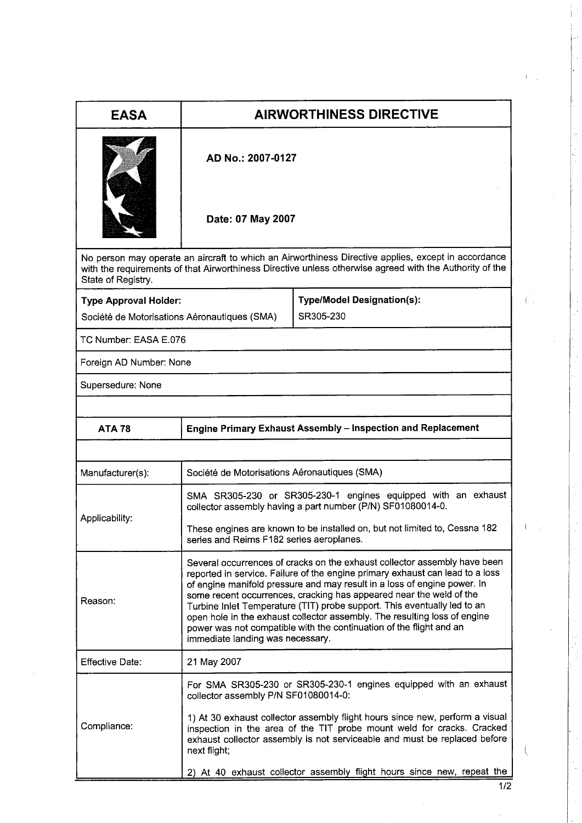| <b>EASA</b>                  | <b>AIRWORTHINESS DIRECTIVE</b>                                                                                                                                                                                                                                                                                                                                                                                                                                                                                                                                                    |                                                                                                                                                                                                                                     |  |
|------------------------------|-----------------------------------------------------------------------------------------------------------------------------------------------------------------------------------------------------------------------------------------------------------------------------------------------------------------------------------------------------------------------------------------------------------------------------------------------------------------------------------------------------------------------------------------------------------------------------------|-------------------------------------------------------------------------------------------------------------------------------------------------------------------------------------------------------------------------------------|--|
|                              | AD No.: 2007-0127                                                                                                                                                                                                                                                                                                                                                                                                                                                                                                                                                                 |                                                                                                                                                                                                                                     |  |
|                              | Date: 07 May 2007                                                                                                                                                                                                                                                                                                                                                                                                                                                                                                                                                                 |                                                                                                                                                                                                                                     |  |
| State of Registry.           |                                                                                                                                                                                                                                                                                                                                                                                                                                                                                                                                                                                   | No person may operate an aircraft to which an Airworthiness Directive applies, except in accordance<br>with the requirements of that Airworthiness Directive unless otherwise agreed with the Authority of the                      |  |
| <b>Type Approval Holder:</b> |                                                                                                                                                                                                                                                                                                                                                                                                                                                                                                                                                                                   | <b>Type/Model Designation(s):</b>                                                                                                                                                                                                   |  |
|                              | Société de Motorisations Aéronautiques (SMA)                                                                                                                                                                                                                                                                                                                                                                                                                                                                                                                                      | SR305-230                                                                                                                                                                                                                           |  |
| TC Number: EASA E.076        |                                                                                                                                                                                                                                                                                                                                                                                                                                                                                                                                                                                   |                                                                                                                                                                                                                                     |  |
| Foreign AD Number: None      |                                                                                                                                                                                                                                                                                                                                                                                                                                                                                                                                                                                   |                                                                                                                                                                                                                                     |  |
| Supersedure: None            |                                                                                                                                                                                                                                                                                                                                                                                                                                                                                                                                                                                   |                                                                                                                                                                                                                                     |  |
|                              |                                                                                                                                                                                                                                                                                                                                                                                                                                                                                                                                                                                   |                                                                                                                                                                                                                                     |  |
| <b>ATA 78</b>                | <b>Engine Primary Exhaust Assembly - Inspection and Replacement</b>                                                                                                                                                                                                                                                                                                                                                                                                                                                                                                               |                                                                                                                                                                                                                                     |  |
| Manufacturer(s):             | Société de Motorisations Aéronautiques (SMA)                                                                                                                                                                                                                                                                                                                                                                                                                                                                                                                                      |                                                                                                                                                                                                                                     |  |
|                              |                                                                                                                                                                                                                                                                                                                                                                                                                                                                                                                                                                                   |                                                                                                                                                                                                                                     |  |
| Applicability:               | SMA SR305-230 or SR305-230-1 engines equipped with an exhaust<br>collector assembly having a part number (P/N) SF01080014-0.                                                                                                                                                                                                                                                                                                                                                                                                                                                      |                                                                                                                                                                                                                                     |  |
|                              | These engines are known to be installed on, but not limited to, Cessna 182<br>series and Reims F182 series aeroplanes.                                                                                                                                                                                                                                                                                                                                                                                                                                                            |                                                                                                                                                                                                                                     |  |
| Reason:                      | Several occurrences of cracks on the exhaust collector assembly have been<br>reported in service. Failure of the engine primary exhaust can lead to a loss<br>of engine manifold pressure and may result in a loss of engine power. In<br>some recent occurrences, cracking has appeared near the weld of the<br>Turbine Inlet Temperature (TIT) probe support. This eventually led to an<br>open hole in the exhaust collector assembly. The resulting loss of engine<br>power was not compatible with the continuation of the flight and an<br>immediate landing was necessary. |                                                                                                                                                                                                                                     |  |
| <b>Effective Date:</b>       | 21 May 2007                                                                                                                                                                                                                                                                                                                                                                                                                                                                                                                                                                       |                                                                                                                                                                                                                                     |  |
|                              |                                                                                                                                                                                                                                                                                                                                                                                                                                                                                                                                                                                   | For SMA SR305-230 or SR305-230-1 engines equipped with an exhaust                                                                                                                                                                   |  |
|                              | collector assembly P/N SF01080014-0:                                                                                                                                                                                                                                                                                                                                                                                                                                                                                                                                              |                                                                                                                                                                                                                                     |  |
| Compliance:                  | next flight;                                                                                                                                                                                                                                                                                                                                                                                                                                                                                                                                                                      | 1) At 30 exhaust collector assembly flight hours since new, perform a visual<br>inspection in the area of the TIT probe mount weld for cracks. Cracked<br>exhaust collector assembly is not serviceable and must be replaced before |  |

 $\hat{\epsilon}$  .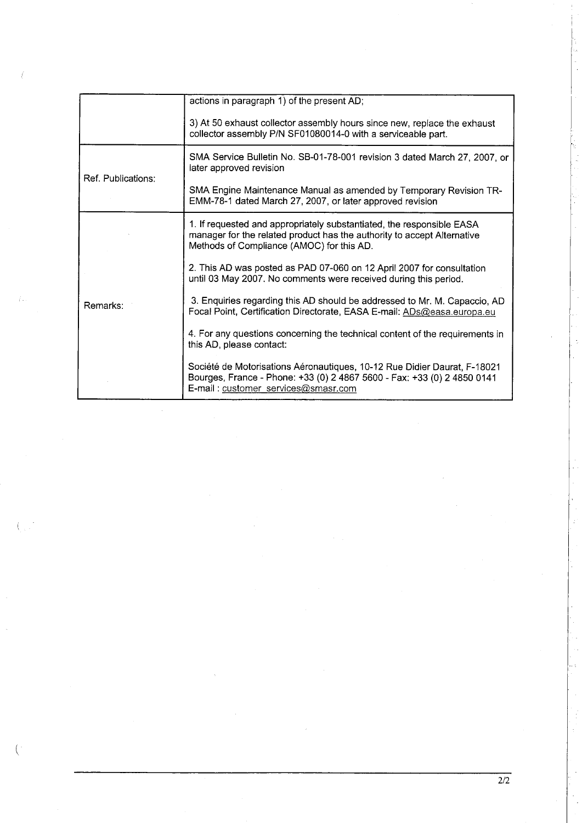|                    | actions in paragraph 1) of the present AD;                                                                                                                                                    |  |  |
|--------------------|-----------------------------------------------------------------------------------------------------------------------------------------------------------------------------------------------|--|--|
|                    | 3) At 50 exhaust collector assembly hours since new, replace the exhaust<br>collector assembly P/N SF01080014-0 with a serviceable part.                                                      |  |  |
| Ref. Publications: | SMA Service Bulletin No. SB-01-78-001 revision 3 dated March 27, 2007, or<br>later approved revision                                                                                          |  |  |
|                    | SMA Engine Maintenance Manual as amended by Temporary Revision TR-<br>EMM-78-1 dated March 27, 2007, or later approved revision                                                               |  |  |
| Remarks:           | 1. If requested and appropriately substantiated, the responsible EASA<br>manager for the related product has the authority to accept Alternative<br>Methods of Compliance (AMOC) for this AD. |  |  |
|                    | 2. This AD was posted as PAD 07-060 on 12 April 2007 for consultation<br>until 03 May 2007. No comments were received during this period.                                                     |  |  |
|                    | 3. Enquiries regarding this AD should be addressed to Mr. M. Capaccio, AD<br>Focal Point, Certification Directorate, EASA E-mail: ADs@easa.europa.eu                                          |  |  |
|                    | 4. For any questions concerning the technical content of the requirements in<br>this AD, please contact:                                                                                      |  |  |
|                    | Société de Motorisations Aéronautiques, 10-12 Rue Didier Daurat, F-18021<br>Bourges, France - Phone: +33 (0) 2 4867 5600 - Fax: +33 (0) 2 4850 0141<br>E-mail: customer services@smasr.com    |  |  |

 $\overline{\phantom{0}}$ 

2/2